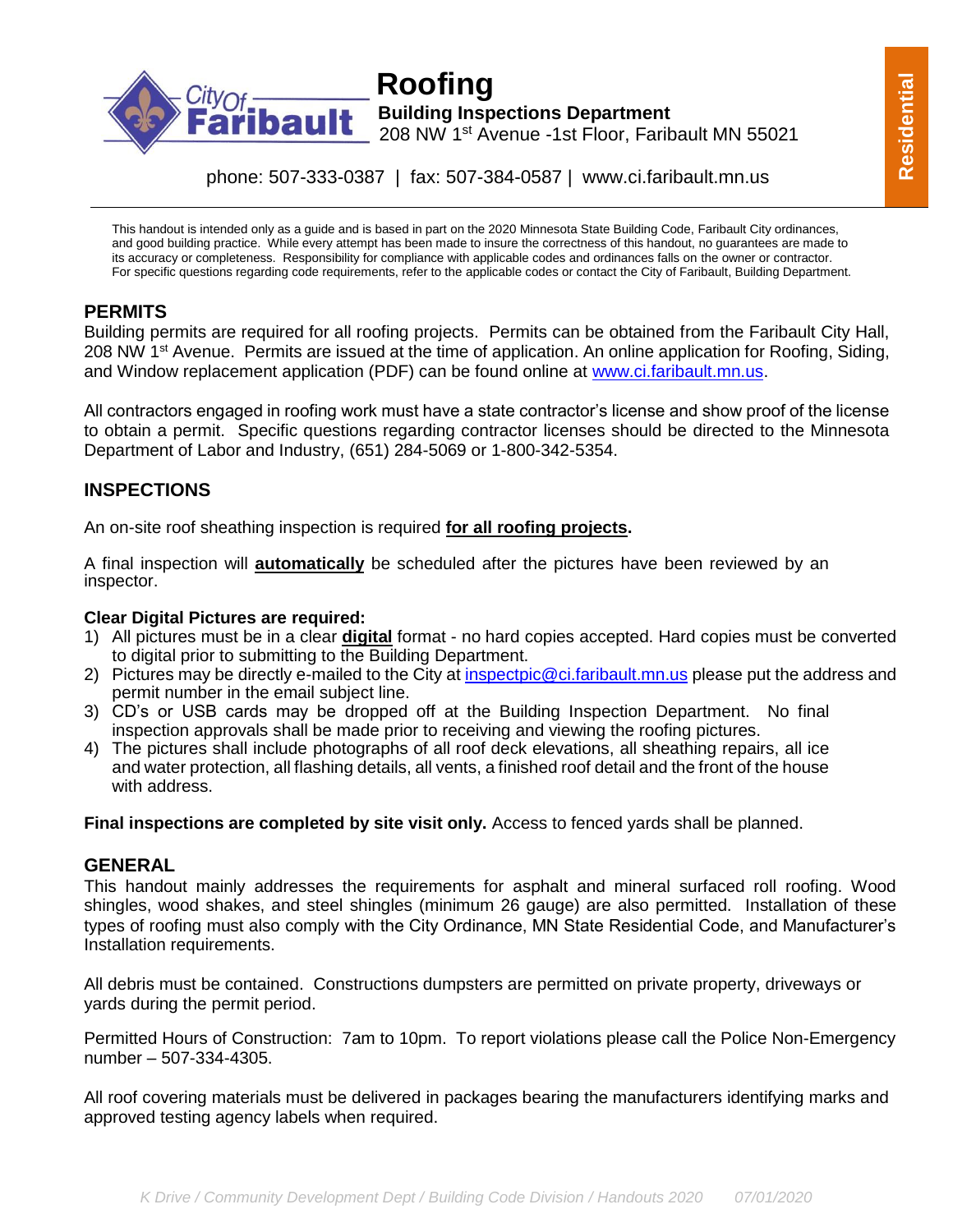

phone: 507-333-0387 | fax: 507-384-0587 | www.ci.faribault.mn.us

This handout is intended only as a guide and is based in part on the 2020 Minnesota State Building Code, Faribault City ordinances, and good building practice. While every attempt has been made to insure the correctness of this handout, no guarantees are made to its accuracy or completeness. Responsibility for compliance with applicable codes and ordinances falls on the owner or contractor. For specific questions regarding code requirements, refer to the applicable codes or contact the City of Faribault, Building Department.

### **PERMITS**

Building permits are required for all roofing projects. Permits can be obtained from the Faribault City Hall, 208 NW 1<sup>st</sup> Avenue. Permits are issued at the time of application. An online application for Roofing, Siding, and Window replacement application (PDF) can be found online at [www.ci.faribault.mn.us.](http://www.ci.faribault.mn.us/)

All contractors engaged in roofing work must have a state contractor's license and show proof of the license to obtain a permit. Specific questions regarding contractor licenses should be directed to the Minnesota Department of Labor and Industry, (651) 284-5069 or 1-800-342-5354.

## **INSPECTIONS**

An on-site roof sheathing inspection is required **for all roofing projects.**

A final inspection will **automatically** be scheduled after the pictures have been reviewed by an inspector.

#### **Clear Digital Pictures are required:**

- 1) All pictures must be in a clear **digital** format no hard copies accepted. Hard copies must be converted to digital prior to submitting to the Building Department.
- 2) Pictures may be directly e-mailed to the City a[t inspectpic@ci.faribault.mn.us](mailto:inspectpic@ci.faribault.mn.us) please put the address and permit number in the email subject line.
- 3) CD's or USB cards may be dropped off at the Building Inspection Department. No final inspection approvals shall be made prior to receiving and viewing the roofing pictures.
- 4) The pictures shall include photographs of all roof deck elevations, all sheathing repairs, all ice and water protection, all flashing details, all vents, a finished roof detail and the front of the house with address.

**Final inspections are completed by site visit only.** Access to fenced yards shall be planned.

#### **GENERAL**

This handout mainly addresses the requirements for asphalt and mineral surfaced roll roofing. Wood shingles, wood shakes, and steel shingles (minimum 26 gauge) are also permitted. Installation of these types of roofing must also comply with the City Ordinance, MN State Residential Code, and Manufacturer's Installation requirements.

All debris must be contained. Constructions dumpsters are permitted on private property, driveways or yards during the permit period.

Permitted Hours of Construction: 7am to 10pm. To report violations please call the Police Non-Emergency number – 507-334-4305.

All roof covering materials must be delivered in packages bearing the manufacturers identifying marks and approved testing agency labels when required.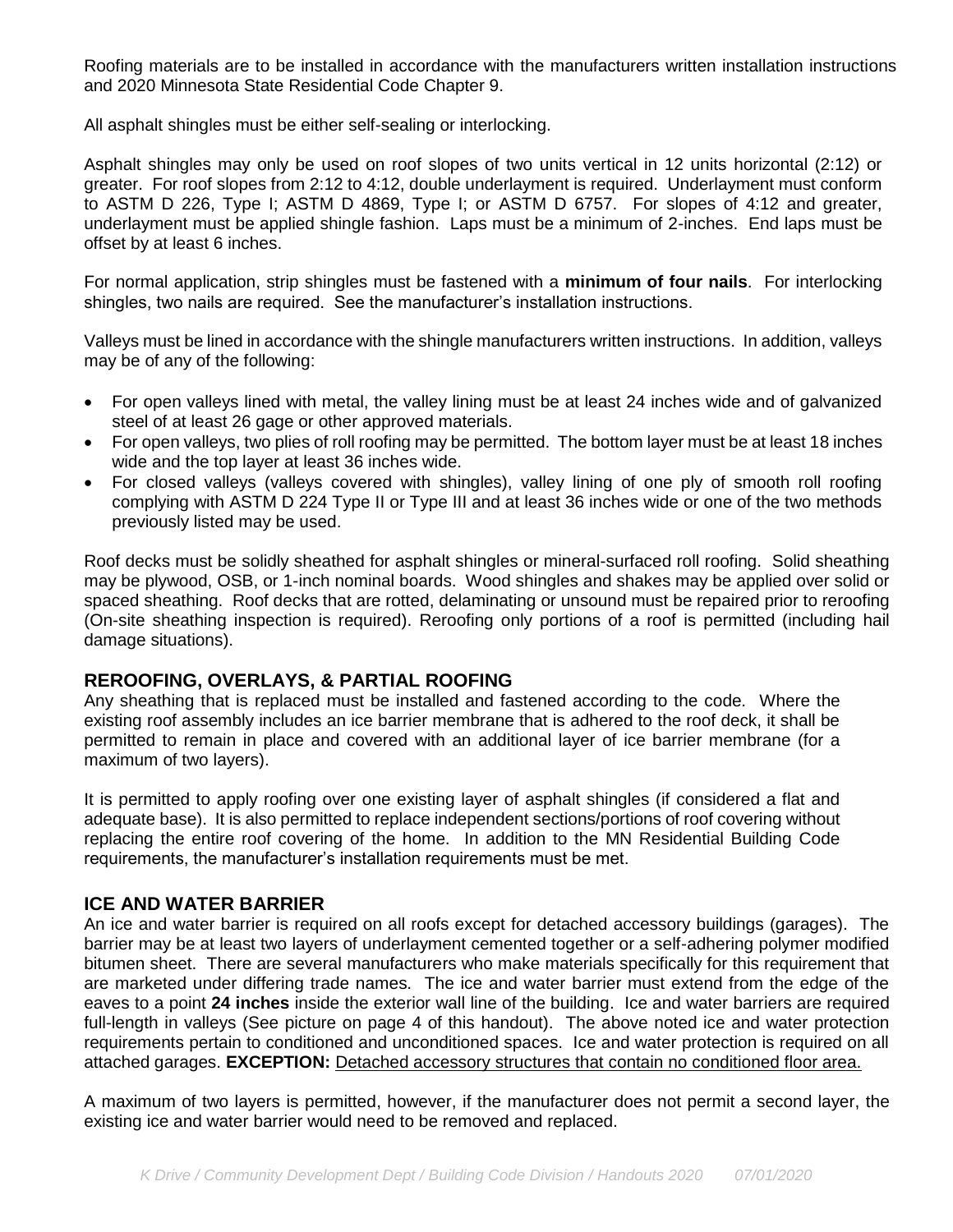Roofing materials are to be installed in accordance with the manufacturers written installation instructions and 2020 Minnesota State Residential Code Chapter 9.

All asphalt shingles must be either self-sealing or interlocking.

Asphalt shingles may only be used on roof slopes of two units vertical in 12 units horizontal (2:12) or greater. For roof slopes from 2:12 to 4:12, double underlayment is required. Underlayment must conform to ASTM D 226, Type I; ASTM D 4869, Type I; or ASTM D 6757. For slopes of 4:12 and greater, underlayment must be applied shingle fashion. Laps must be a minimum of 2-inches. End laps must be offset by at least 6 inches.

For normal application, strip shingles must be fastened with a **minimum of four nails**. For interlocking shingles, two nails are required. See the manufacturer's installation instructions.

Valleys must be lined in accordance with the shingle manufacturers written instructions. In addition, valleys may be of any of the following:

- For open valleys lined with metal, the valley lining must be at least 24 inches wide and of galvanized steel of at least 26 gage or other approved materials.
- For open valleys, two plies of roll roofing may be permitted. The bottom layer must be at least 18 inches wide and the top layer at least 36 inches wide.
- For closed valleys (valleys covered with shingles), valley lining of one ply of smooth roll roofing complying with ASTM D 224 Type II or Type III and at least 36 inches wide or one of the two methods previously listed may be used.

Roof decks must be solidly sheathed for asphalt shingles or mineral-surfaced roll roofing. Solid sheathing may be plywood, OSB, or 1-inch nominal boards. Wood shingles and shakes may be applied over solid or spaced sheathing. Roof decks that are rotted, delaminating or unsound must be repaired prior to reroofing (On-site sheathing inspection is required). Reroofing only portions of a roof is permitted (including hail damage situations).

#### **REROOFING, OVERLAYS, & PARTIAL ROOFING**

Any sheathing that is replaced must be installed and fastened according to the code. Where the existing roof assembly includes an ice barrier membrane that is adhered to the roof deck, it shall be permitted to remain in place and covered with an additional layer of ice barrier membrane (for a maximum of two layers).

It is permitted to apply roofing over one existing layer of asphalt shingles (if considered a flat and adequate base). It is also permitted to replace independent sections/portions of roof covering without replacing the entire roof covering of the home. In addition to the MN Residential Building Code requirements, the manufacturer's installation requirements must be met.

#### **ICE AND WATER BARRIER**

An ice and water barrier is required on all roofs except for detached accessory buildings (garages). The barrier may be at least two layers of underlayment cemented together or a self-adhering polymer modified bitumen sheet. There are several manufacturers who make materials specifically for this requirement that are marketed under differing trade names. The ice and water barrier must extend from the edge of the eaves to a point **24 inches** inside the exterior wall line of the building. Ice and water barriers are required full-length in valleys (See picture on page 4 of this handout). The above noted ice and water protection requirements pertain to conditioned and unconditioned spaces. Ice and water protection is required on all attached garages. **EXCEPTION:** Detached accessory structures that contain no conditioned floor area.

A maximum of two layers is permitted, however, if the manufacturer does not permit a second layer, the existing ice and water barrier would need to be removed and replaced.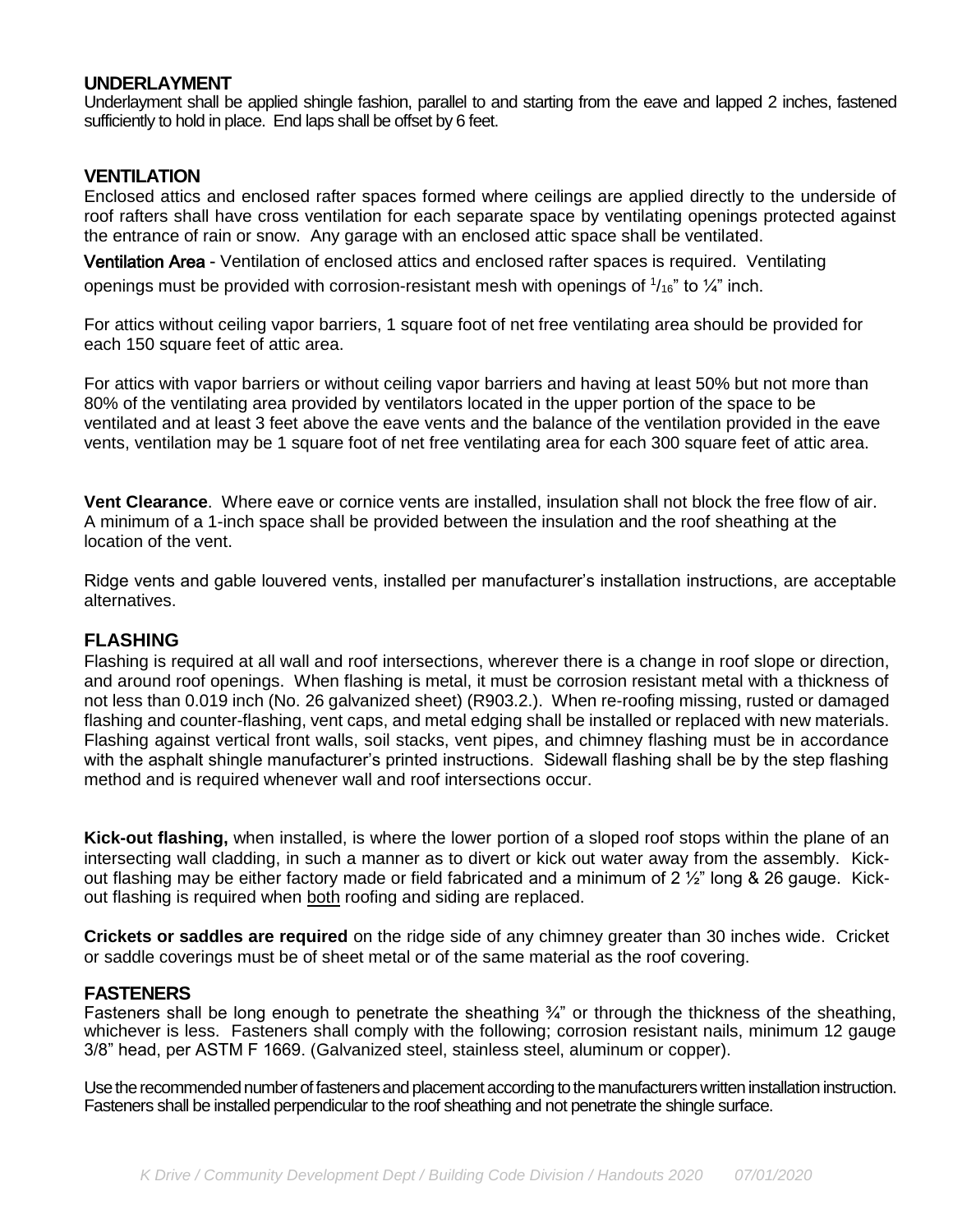#### **UNDERLAYMENT**

Underlayment shall be applied shingle fashion, parallel to and starting from the eave and lapped 2 inches, fastened sufficiently to hold in place. End laps shall be offset by 6 feet.

#### **VENTILATION**

Enclosed attics and enclosed rafter spaces formed where ceilings are applied directly to the underside of roof rafters shall have cross ventilation for each separate space by ventilating openings protected against the entrance of rain or snow. Any garage with an enclosed attic space shall be ventilated.

Ventilation Area - Ventilation of enclosed attics and enclosed rafter spaces is required. Ventilating openings must be provided with corrosion-resistant mesh with openings of  $\frac{1}{16}$  to  $\frac{1}{4}$  inch.

For attics without ceiling vapor barriers, 1 square foot of net free ventilating area should be provided for each 150 square feet of attic area.

For attics with vapor barriers or without ceiling vapor barriers and having at least 50% but not more than 80% of the ventilating area provided by ventilators located in the upper portion of the space to be ventilated and at least 3 feet above the eave vents and the balance of the ventilation provided in the eave vents, ventilation may be 1 square foot of net free ventilating area for each 300 square feet of attic area.

**Vent Clearance**. Where eave or cornice vents are installed, insulation shall not block the free flow of air. A minimum of a 1-inch space shall be provided between the insulation and the roof sheathing at the location of the vent.

Ridge vents and gable louvered vents, installed per manufacturer's installation instructions, are acceptable alternatives.

#### **FLASHING**

Flashing is required at all wall and roof intersections, wherever there is a change in roof slope or direction, and around roof openings. When flashing is metal, it must be corrosion resistant metal with a thickness of not less than 0.019 inch (No. 26 galvanized sheet) (R903.2.). When re-roofing missing, rusted or damaged flashing and counter-flashing, vent caps, and metal edging shall be installed or replaced with new materials. Flashing against vertical front walls, soil stacks, vent pipes, and chimney flashing must be in accordance with the asphalt shingle manufacturer's printed instructions. Sidewall flashing shall be by the step flashing method and is required whenever wall and roof intersections occur.

**Kick-out flashing,** when installed, is where the lower portion of a sloped roof stops within the plane of an intersecting wall cladding, in such a manner as to divert or kick out water away from the assembly. Kickout flashing may be either factory made or field fabricated and a minimum of 2  $\frac{1}{2}$ " long & 26 gauge. Kickout flashing is required when both roofing and siding are replaced.

**Crickets or saddles are required** on the ridge side of any chimney greater than 30 inches wide. Cricket or saddle coverings must be of sheet metal or of the same material as the roof covering.

#### **FASTENERS**

Fasteners shall be long enough to penetrate the sheathing  $\frac{3}{4}$ " or through the thickness of the sheathing, whichever is less. Fasteners shall comply with the following; corrosion resistant nails, minimum 12 gauge 3/8" head, per ASTM F 1669. (Galvanized steel, stainless steel, aluminum or copper).

Use the recommended number of fasteners and placement according to the manufacturers written installation instruction. Fasteners shall be installed perpendicular to the roof sheathing and not penetrate the shingle surface.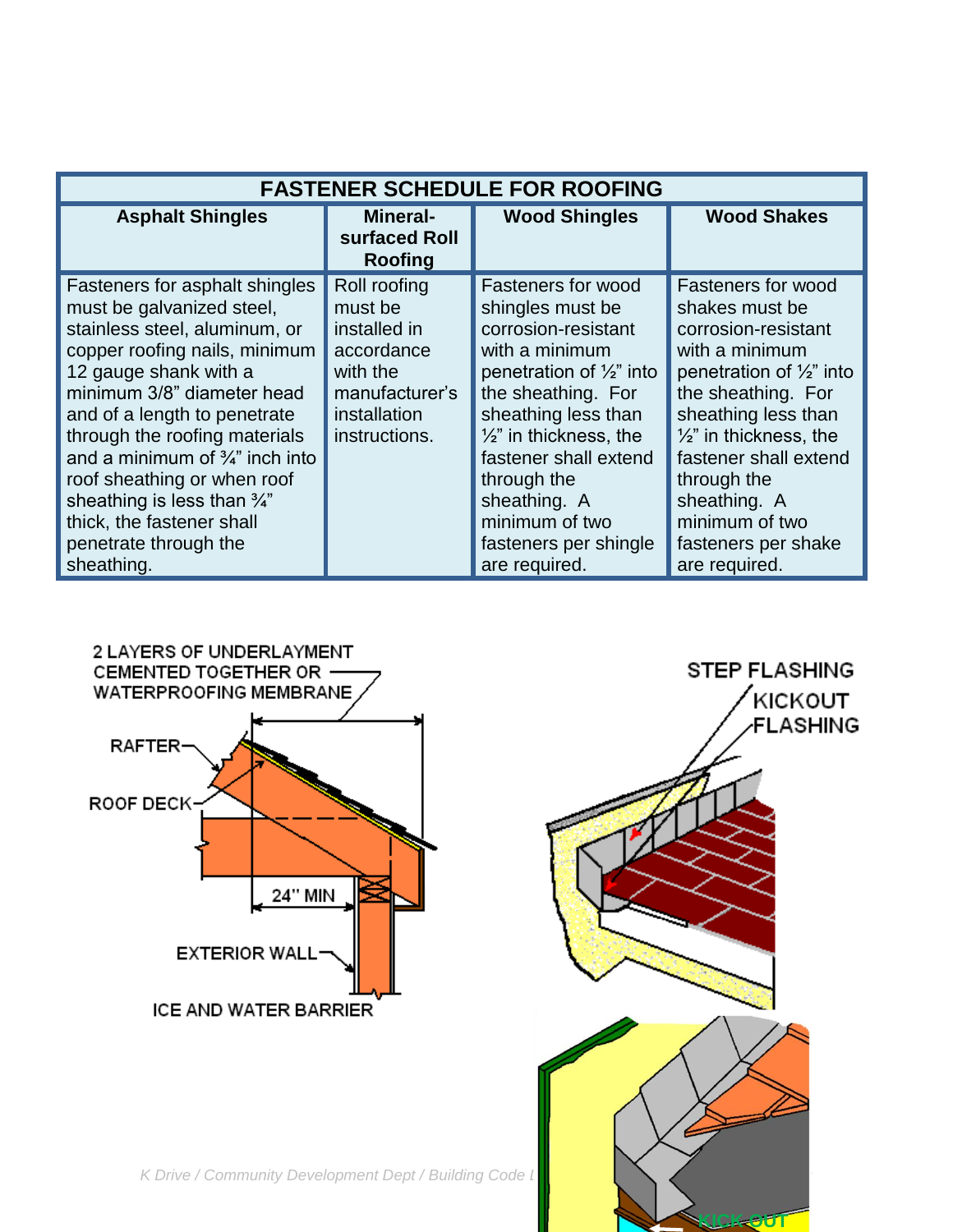| <b>FASTENER SCHEDULE FOR ROOFING</b>                                                                                                                                                                                                                                                                                                                                                                                                             |                                                                                                                      |                                                                                                                                                                                                                                                                                                                                     |                                                                                                                                                                                                                                                                                                                                 |
|--------------------------------------------------------------------------------------------------------------------------------------------------------------------------------------------------------------------------------------------------------------------------------------------------------------------------------------------------------------------------------------------------------------------------------------------------|----------------------------------------------------------------------------------------------------------------------|-------------------------------------------------------------------------------------------------------------------------------------------------------------------------------------------------------------------------------------------------------------------------------------------------------------------------------------|---------------------------------------------------------------------------------------------------------------------------------------------------------------------------------------------------------------------------------------------------------------------------------------------------------------------------------|
| <b>Asphalt Shingles</b>                                                                                                                                                                                                                                                                                                                                                                                                                          | Mineral-<br>surfaced Roll<br>Roofing                                                                                 | <b>Wood Shingles</b>                                                                                                                                                                                                                                                                                                                | <b>Wood Shakes</b>                                                                                                                                                                                                                                                                                                              |
| Fasteners for asphalt shingles<br>must be galvanized steel,<br>stainless steel, aluminum, or<br>copper roofing nails, minimum<br>12 gauge shank with a<br>minimum 3/8" diameter head<br>and of a length to penetrate<br>through the roofing materials<br>and a minimum of $\frac{3}{4}$ " inch into<br>roof sheathing or when roof<br>sheathing is less than $\frac{3}{4}$ "<br>thick, the fastener shall<br>penetrate through the<br>sheathing. | Roll roofing<br>must be<br>installed in<br>accordance<br>with the<br>manufacturer's<br>installation<br>instructions. | <b>Fasteners for wood</b><br>shingles must be<br>corrosion-resistant<br>with a minimum<br>penetration of $\frac{1}{2}$ " into<br>the sheathing. For<br>sheathing less than<br>$\frac{1}{2}$ " in thickness, the<br>fastener shall extend<br>through the<br>sheathing. A<br>minimum of two<br>fasteners per shingle<br>are required. | <b>Fasteners for wood</b><br>shakes must be<br>corrosion-resistant<br>with a minimum<br>penetration of $\frac{1}{2}$ " into<br>the sheathing. For<br>sheathing less than<br>$\frac{1}{2}$ " in thickness, the<br>fastener shall extend<br>through the<br>sheathing. A<br>minimum of two<br>fasteners per shake<br>are required. |

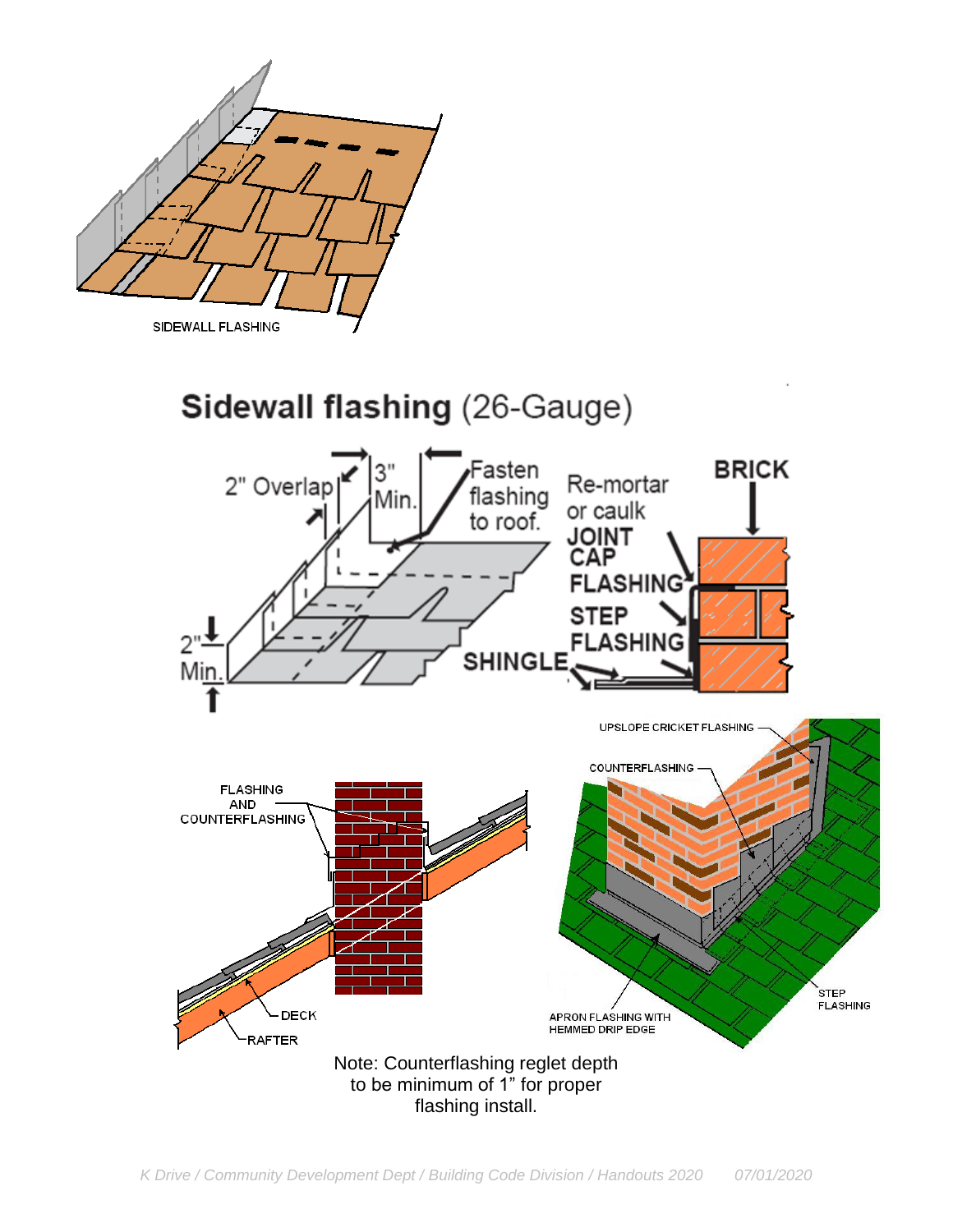

# Sidewall flashing (26-Gauge)